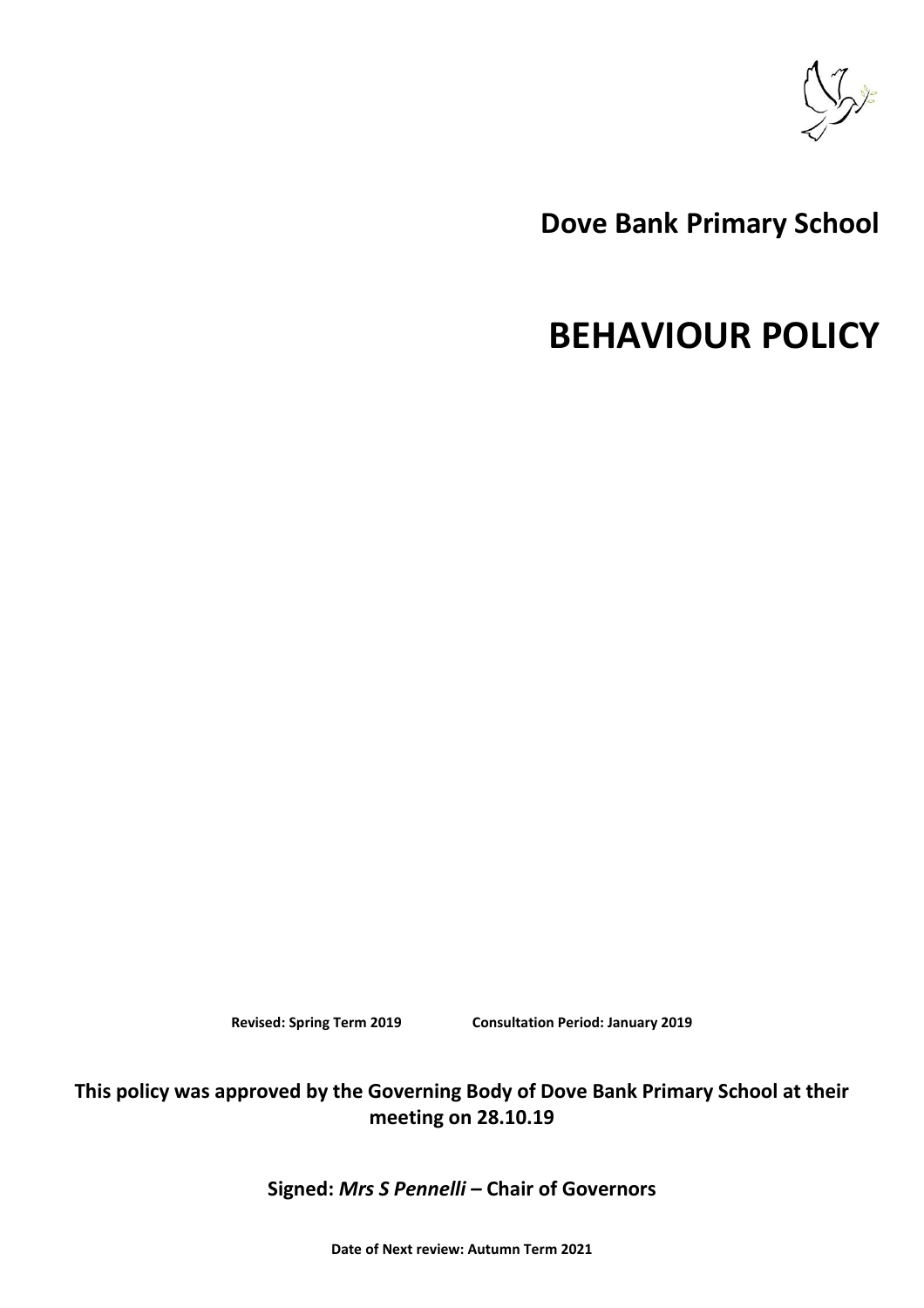

# **Dove Bank Primary School**

# **BEHAVIOUR POLICY**

**Revised: Spring Term 2019 Consultation Period: January 2019**

**This policy was approved by the Governing Body of Dove Bank Primary School at their meeting on 28.10.19**

**Signed:** *Mrs S Pennelli* **– Chair of Governors**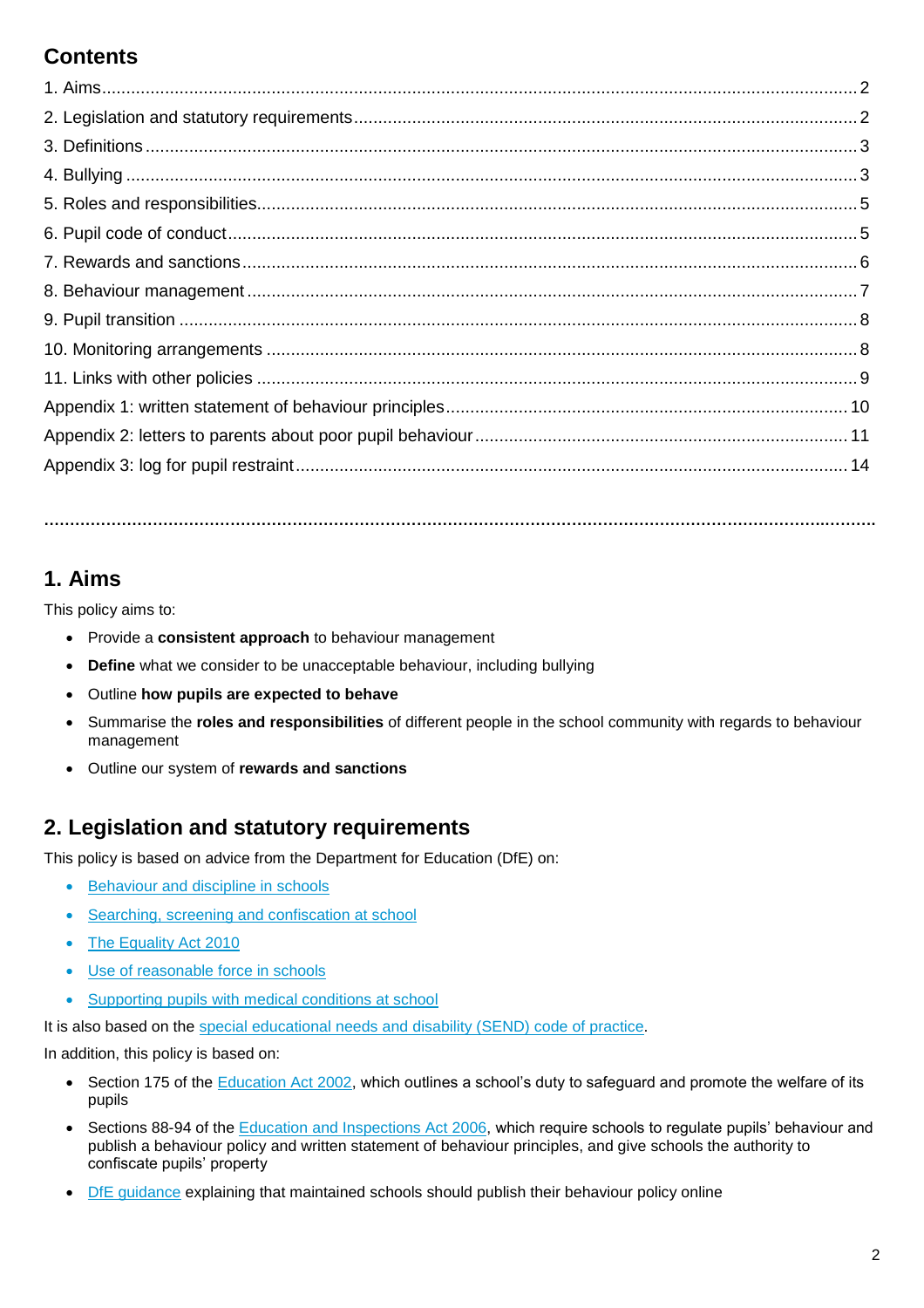# **Contents**

### **1. Aims**

This policy aims to:

- Provide a **consistent approach** to behaviour management
- **Define** what we consider to be unacceptable behaviour, including bullying
- Outline **how pupils are expected to behave**
- Summarise the **roles and responsibilities** of different people in the school community with regards to behaviour management

**…………………………………………………………………………………………………………………………………….……….**

Outline our system of **rewards and sanctions**

### **2. Legislation and statutory requirements**

This policy is based on advice from the Department for Education (DfE) on:

- [Behaviour and discipline in schools](https://www.gov.uk/government/publications/behaviour-and-discipline-in-schools)
- [Searching, screening and confiscation at school](https://www.gov.uk/government/publications/searching-screening-and-confiscation)
- [The Equality Act 2010](https://www.gov.uk/government/publications/equality-act-2010-advice-for-schools)
- [Use of reasonable force in schools](https://www.gov.uk/government/publications/use-of-reasonable-force-in-schools)
- [Supporting pupils with medical conditions at school](https://www.gov.uk/government/publications/supporting-pupils-at-school-with-medical-conditions--3)

It is also based on the [special educational needs and disability \(SEND\) code of practice.](https://www.gov.uk/government/publications/send-code-of-practice-0-to-25)

In addition, this policy is based on:

- Section 175 of the [Education Act 2002,](http://www.legislation.gov.uk/ukpga/2002/32/section/175) which outlines a school's duty to safeguard and promote the welfare of its pupils
- Sections 88-94 of the [Education and Inspections Act 2006,](http://www.legislation.gov.uk/ukpga/2006/40/section/88) which require schools to regulate pupils' behaviour and publish a behaviour policy and written statement of behaviour principles, and give schools the authority to confiscate pupils' property
- [DfE guidance](https://www.gov.uk/guidance/what-maintained-schools-must-publish-online#behaviour-policy) explaining that maintained schools should publish their behaviour policy online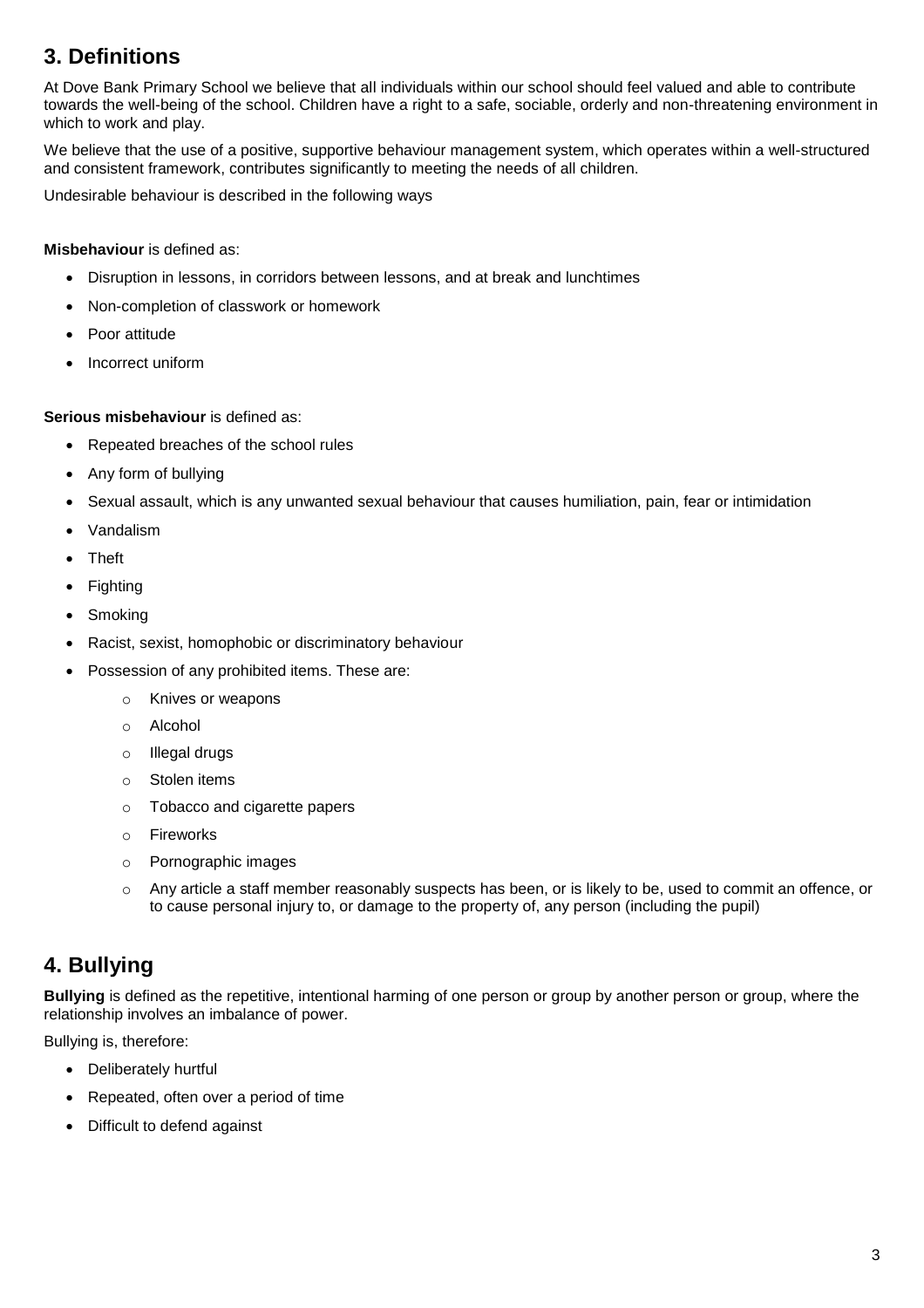# **3. Definitions**

At Dove Bank Primary School we believe that all individuals within our school should feel valued and able to contribute towards the well-being of the school. Children have a right to a safe, sociable, orderly and non-threatening environment in which to work and play.

We believe that the use of a positive, supportive behaviour management system, which operates within a well-structured and consistent framework, contributes significantly to meeting the needs of all children.

Undesirable behaviour is described in the following ways

#### **Misbehaviour** is defined as:

- Disruption in lessons, in corridors between lessons, and at break and lunchtimes
- Non-completion of classwork or homework
- Poor attitude
- Incorrect uniform

#### **Serious misbehaviour** is defined as:

- Repeated breaches of the school rules
- Any form of bullying
- Sexual assault, which is any unwanted sexual behaviour that causes humiliation, pain, fear or intimidation
- Vandalism
- Theft
- Fighting
- Smoking
- Racist, sexist, homophobic or discriminatory behaviour
- Possession of any prohibited items. These are:
	- o Knives or weapons
	- o Alcohol
	- o Illegal drugs
	- o Stolen items
	- o Tobacco and cigarette papers
	- o Fireworks
	- o Pornographic images
	- o Any article a staff member reasonably suspects has been, or is likely to be, used to commit an offence, or to cause personal injury to, or damage to the property of, any person (including the pupil)

### **4. Bullying**

**Bullying** is defined as the repetitive, intentional harming of one person or group by another person or group, where the relationship involves an imbalance of power.

Bullying is, therefore:

- Deliberately hurtful
- Repeated, often over a period of time
- Difficult to defend against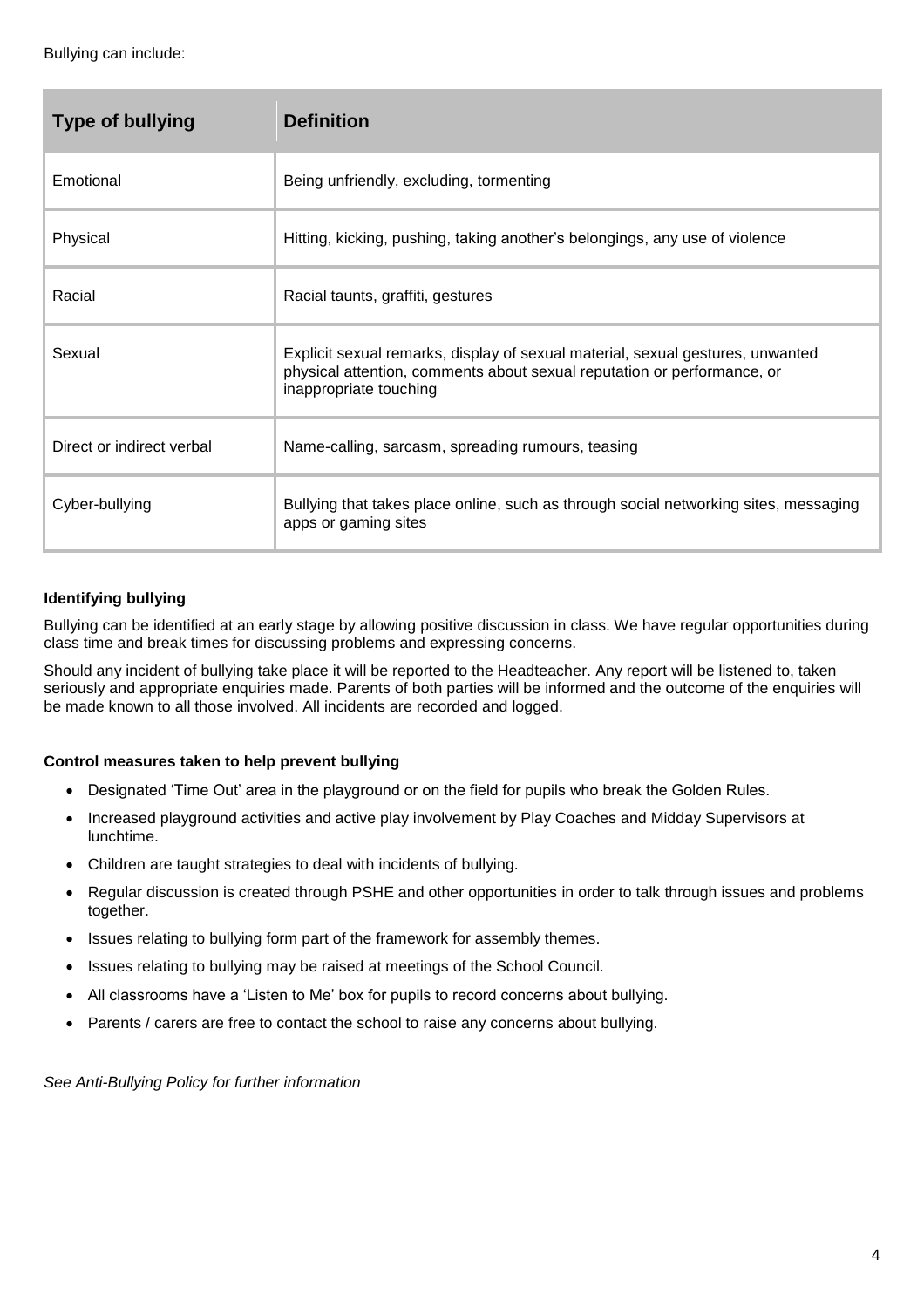| <b>Type of bullying</b>   | <b>Definition</b>                                                                                                                                                                   |  |
|---------------------------|-------------------------------------------------------------------------------------------------------------------------------------------------------------------------------------|--|
| Emotional                 | Being unfriendly, excluding, tormenting                                                                                                                                             |  |
| Physical                  | Hitting, kicking, pushing, taking another's belongings, any use of violence                                                                                                         |  |
| Racial                    | Racial taunts, graffiti, gestures                                                                                                                                                   |  |
| Sexual                    | Explicit sexual remarks, display of sexual material, sexual gestures, unwanted<br>physical attention, comments about sexual reputation or performance, or<br>inappropriate touching |  |
| Direct or indirect verbal | Name-calling, sarcasm, spreading rumours, teasing                                                                                                                                   |  |
| Cyber-bullying            | Bullying that takes place online, such as through social networking sites, messaging<br>apps or gaming sites                                                                        |  |

#### **Identifying bullying**

Bullying can be identified at an early stage by allowing positive discussion in class. We have regular opportunities during class time and break times for discussing problems and expressing concerns.

Should any incident of bullying take place it will be reported to the Headteacher. Any report will be listened to, taken seriously and appropriate enquiries made. Parents of both parties will be informed and the outcome of the enquiries will be made known to all those involved. All incidents are recorded and logged.

#### **Control measures taken to help prevent bullying**

- Designated 'Time Out' area in the playground or on the field for pupils who break the Golden Rules.
- Increased playground activities and active play involvement by Play Coaches and Midday Supervisors at lunchtime.
- Children are taught strategies to deal with incidents of bullying.
- Regular discussion is created through PSHE and other opportunities in order to talk through issues and problems together.
- Issues relating to bullying form part of the framework for assembly themes.
- Issues relating to bullying may be raised at meetings of the School Council.
- All classrooms have a 'Listen to Me' box for pupils to record concerns about bullying.
- Parents / carers are free to contact the school to raise any concerns about bullying.

*See Anti-Bullying Policy for further information*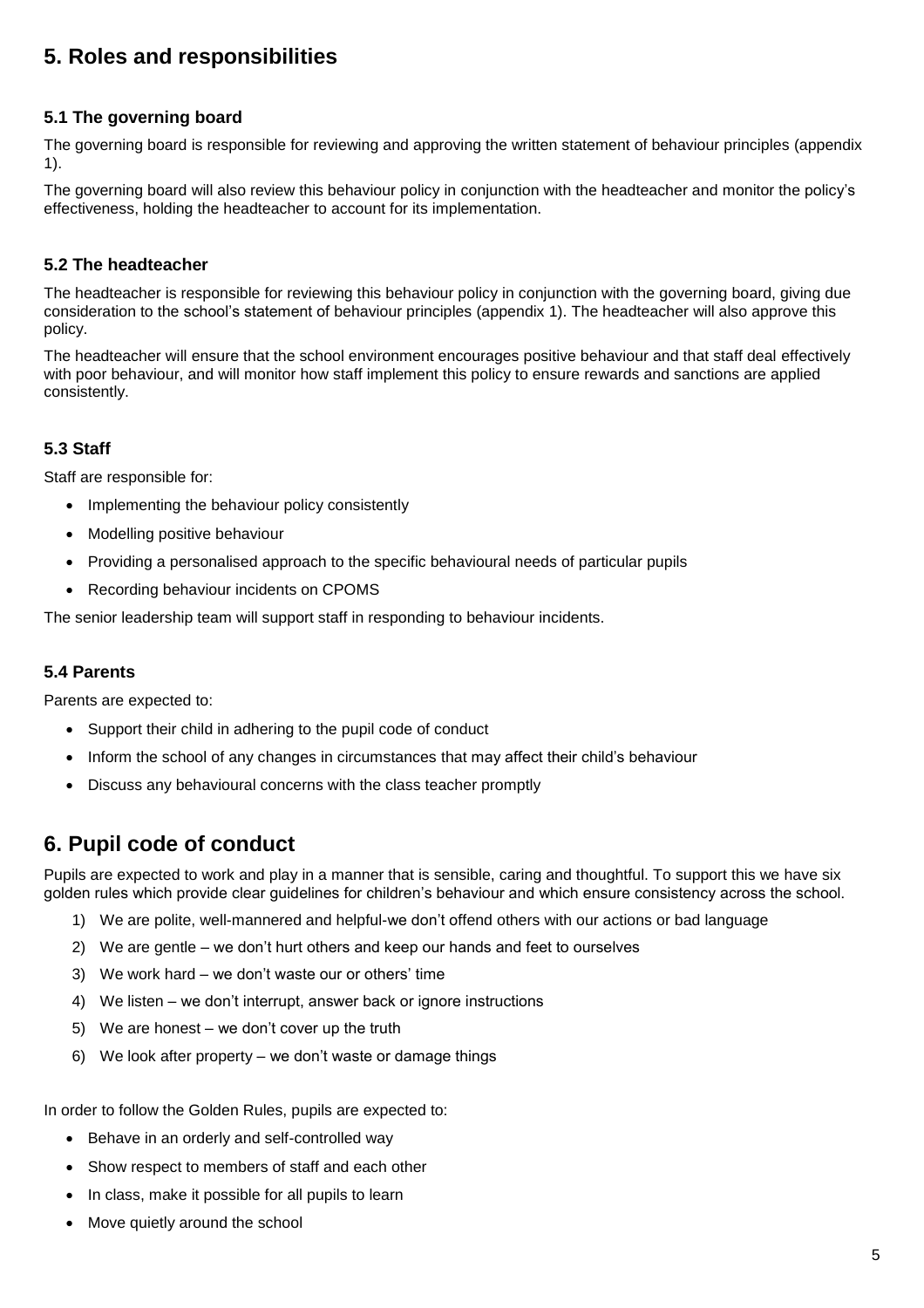### **5. Roles and responsibilities**

#### **5.1 The governing board**

The governing board is responsible for reviewing and approving the written statement of behaviour principles (appendix 1).

The governing board will also review this behaviour policy in conjunction with the headteacher and monitor the policy's effectiveness, holding the headteacher to account for its implementation.

#### **5.2 The headteacher**

The headteacher is responsible for reviewing this behaviour policy in conjunction with the governing board, giving due consideration to the school's statement of behaviour principles (appendix 1). The headteacher will also approve this policy.

The headteacher will ensure that the school environment encourages positive behaviour and that staff deal effectively with poor behaviour, and will monitor how staff implement this policy to ensure rewards and sanctions are applied consistently.

#### **5.3 Staff**

Staff are responsible for:

- Implementing the behaviour policy consistently
- Modelling positive behaviour
- Providing a personalised approach to the specific behavioural needs of particular pupils
- Recording behaviour incidents on CPOMS

The senior leadership team will support staff in responding to behaviour incidents.

#### **5.4 Parents**

Parents are expected to:

- Support their child in adhering to the pupil code of conduct
- Inform the school of any changes in circumstances that may affect their child's behaviour
- Discuss any behavioural concerns with the class teacher promptly

### **6. Pupil code of conduct**

Pupils are expected to work and play in a manner that is sensible, caring and thoughtful. To support this we have six golden rules which provide clear guidelines for children's behaviour and which ensure consistency across the school.

- 1) We are polite, well-mannered and helpful-we don't offend others with our actions or bad language
- 2) We are gentle we don't hurt others and keep our hands and feet to ourselves
- 3) We work hard we don't waste our or others' time
- 4) We listen we don't interrupt, answer back or ignore instructions
- 5) We are honest we don't cover up the truth
- 6) We look after property we don't waste or damage things

In order to follow the Golden Rules, pupils are expected to:

- Behave in an orderly and self-controlled way
- Show respect to members of staff and each other
- In class, make it possible for all pupils to learn
- Move quietly around the school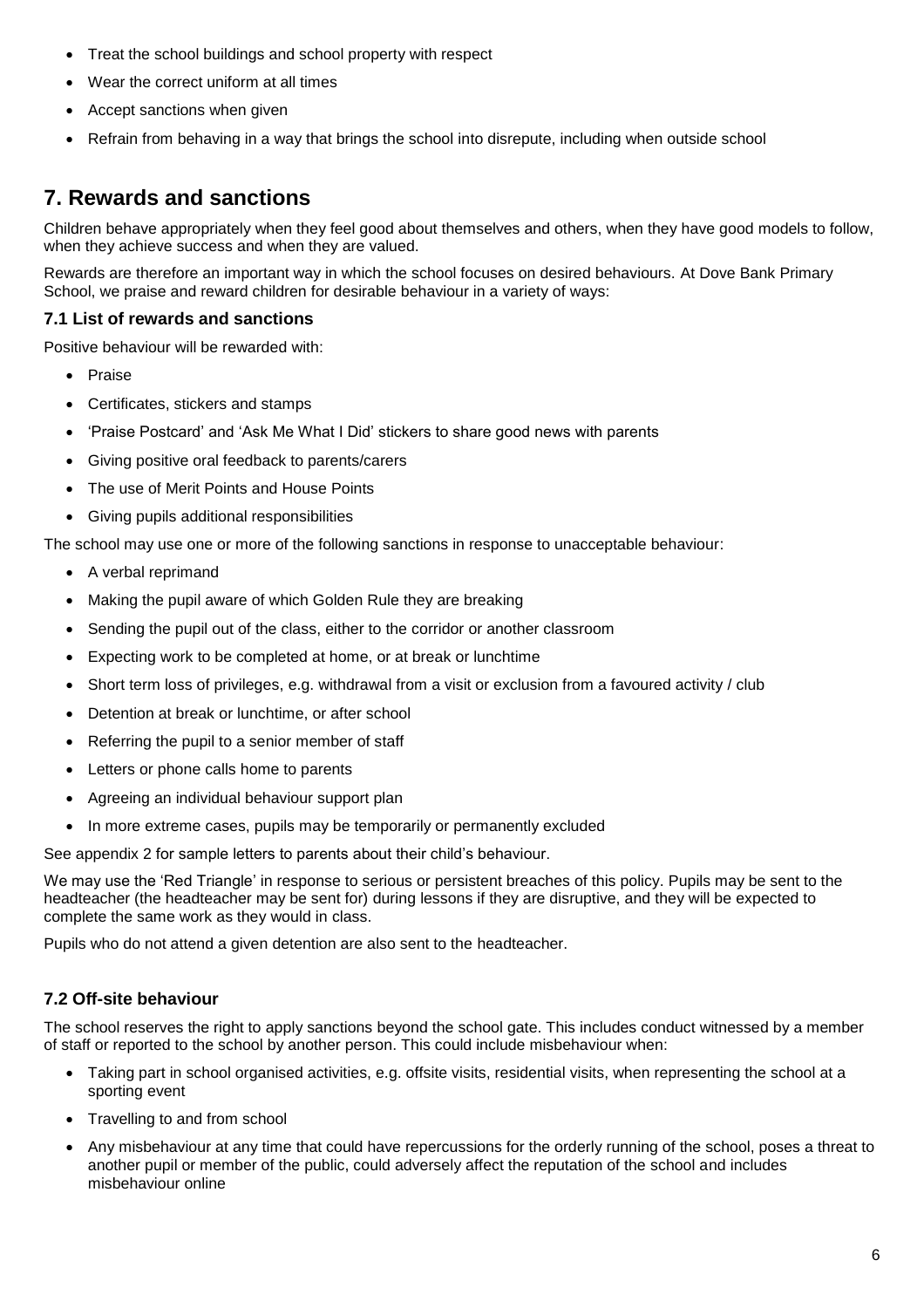- Treat the school buildings and school property with respect
- Wear the correct uniform at all times
- Accept sanctions when given
- Refrain from behaving in a way that brings the school into disrepute, including when outside school

### **7. Rewards and sanctions**

Children behave appropriately when they feel good about themselves and others, when they have good models to follow, when they achieve success and when they are valued.

Rewards are therefore an important way in which the school focuses on desired behaviours. At Dove Bank Primary School, we praise and reward children for desirable behaviour in a variety of ways:

#### **7.1 List of rewards and sanctions**

Positive behaviour will be rewarded with:

- Praise
- Certificates, stickers and stamps
- 'Praise Postcard' and 'Ask Me What I Did' stickers to share good news with parents
- Giving positive oral feedback to parents/carers
- The use of Merit Points and House Points
- Giving pupils additional responsibilities

The school may use one or more of the following sanctions in response to unacceptable behaviour:

- A verbal reprimand
- Making the pupil aware of which Golden Rule they are breaking
- Sending the pupil out of the class, either to the corridor or another classroom
- Expecting work to be completed at home, or at break or lunchtime
- Short term loss of privileges, e.g. withdrawal from a visit or exclusion from a favoured activity / club
- Detention at break or lunchtime, or after school
- Referring the pupil to a senior member of staff
- Letters or phone calls home to parents
- Agreeing an individual behaviour support plan
- In more extreme cases, pupils may be temporarily or permanently excluded

See appendix 2 for sample letters to parents about their child's behaviour.

We may use the 'Red Triangle' in response to serious or persistent breaches of this policy. Pupils may be sent to the headteacher (the headteacher may be sent for) during lessons if they are disruptive, and they will be expected to complete the same work as they would in class.

Pupils who do not attend a given detention are also sent to the headteacher.

#### **7.2 Off-site behaviour**

The school reserves the right to apply sanctions beyond the school gate. This includes conduct witnessed by a member of staff or reported to the school by another person. This could include misbehaviour when:

- Taking part in school organised activities, e.g. offsite visits, residential visits, when representing the school at a sporting event
- Travelling to and from school
- Any misbehaviour at any time that could have repercussions for the orderly running of the school, poses a threat to another pupil or member of the public, could adversely affect the reputation of the school and includes misbehaviour online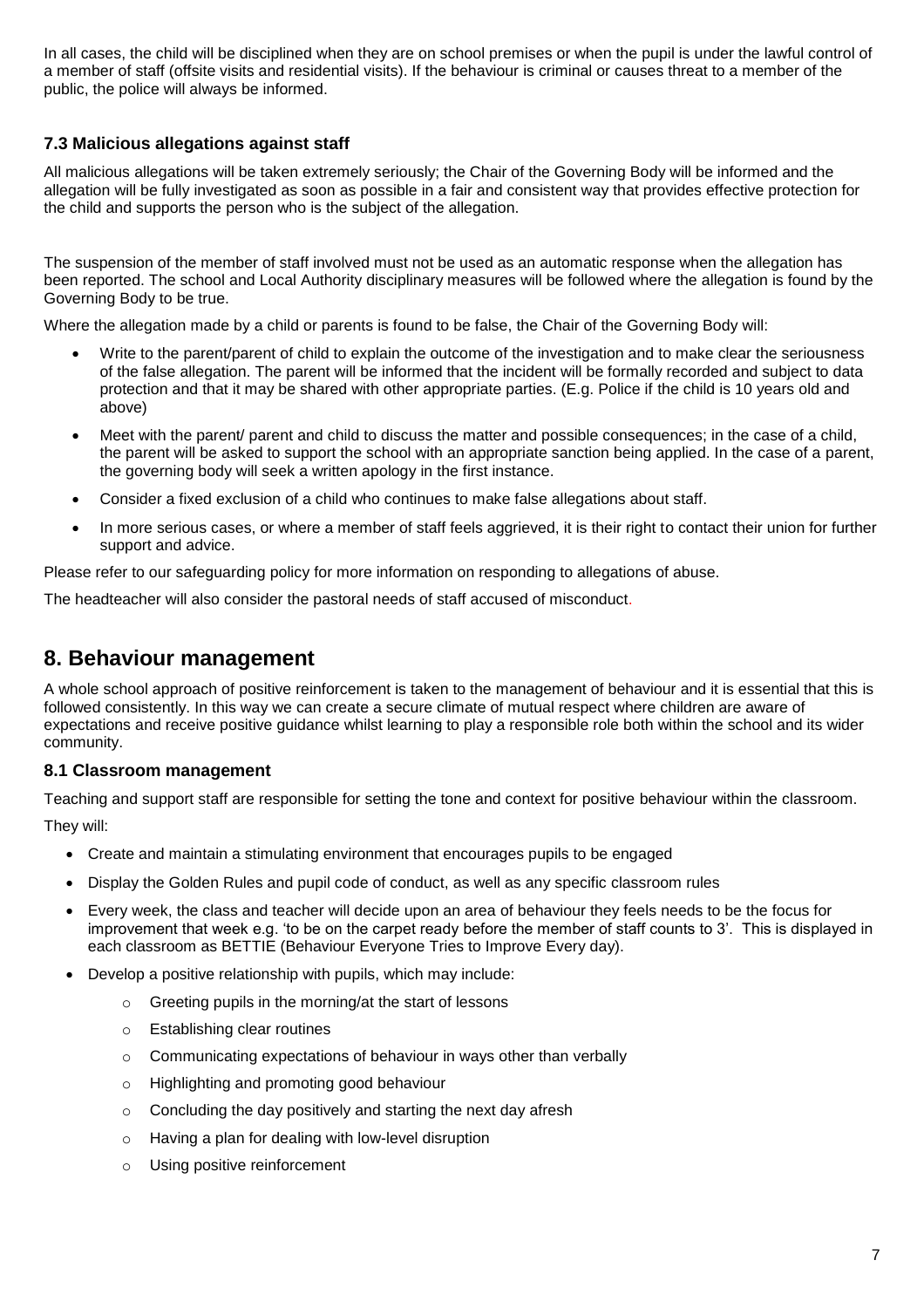In all cases, the child will be disciplined when they are on school premises or when the pupil is under the lawful control of a member of staff (offsite visits and residential visits). If the behaviour is criminal or causes threat to a member of the public, the police will always be informed.

#### **7.3 Malicious allegations against staff**

All malicious allegations will be taken extremely seriously; the Chair of the Governing Body will be informed and the allegation will be fully investigated as soon as possible in a fair and consistent way that provides effective protection for the child and supports the person who is the subject of the allegation.

The suspension of the member of staff involved must not be used as an automatic response when the allegation has been reported. The school and Local Authority disciplinary measures will be followed where the allegation is found by the Governing Body to be true.

Where the allegation made by a child or parents is found to be false, the Chair of the Governing Body will:

- Write to the parent/parent of child to explain the outcome of the investigation and to make clear the seriousness of the false allegation. The parent will be informed that the incident will be formally recorded and subject to data protection and that it may be shared with other appropriate parties. (E.g. Police if the child is 10 years old and above)
- Meet with the parent/ parent and child to discuss the matter and possible consequences; in the case of a child, the parent will be asked to support the school with an appropriate sanction being applied. In the case of a parent, the governing body will seek a written apology in the first instance.
- Consider a fixed exclusion of a child who continues to make false allegations about staff.
- In more serious cases, or where a member of staff feels aggrieved, it is their right to contact their union for further support and advice.

Please refer to our safeguarding policy for more information on responding to allegations of abuse.

The headteacher will also consider the pastoral needs of staff accused of misconduct.

### **8. Behaviour management**

A whole school approach of positive reinforcement is taken to the management of behaviour and it is essential that this is followed consistently. In this way we can create a secure climate of mutual respect where children are aware of expectations and receive positive guidance whilst learning to play a responsible role both within the school and its wider community.

#### **8.1 Classroom management**

Teaching and support staff are responsible for setting the tone and context for positive behaviour within the classroom.

They will:

- Create and maintain a stimulating environment that encourages pupils to be engaged
- Display the Golden Rules and pupil code of conduct, as well as any specific classroom rules
- Every week, the class and teacher will decide upon an area of behaviour they feels needs to be the focus for improvement that week e.g. 'to be on the carpet ready before the member of staff counts to 3'. This is displayed in each classroom as BETTIE (Behaviour Everyone Tries to Improve Every day).
- Develop a positive relationship with pupils, which may include:
	- o Greeting pupils in the morning/at the start of lessons
	- o Establishing clear routines
	- o Communicating expectations of behaviour in ways other than verbally
	- o Highlighting and promoting good behaviour
	- o Concluding the day positively and starting the next day afresh
	- o Having a plan for dealing with low-level disruption
	- o Using positive reinforcement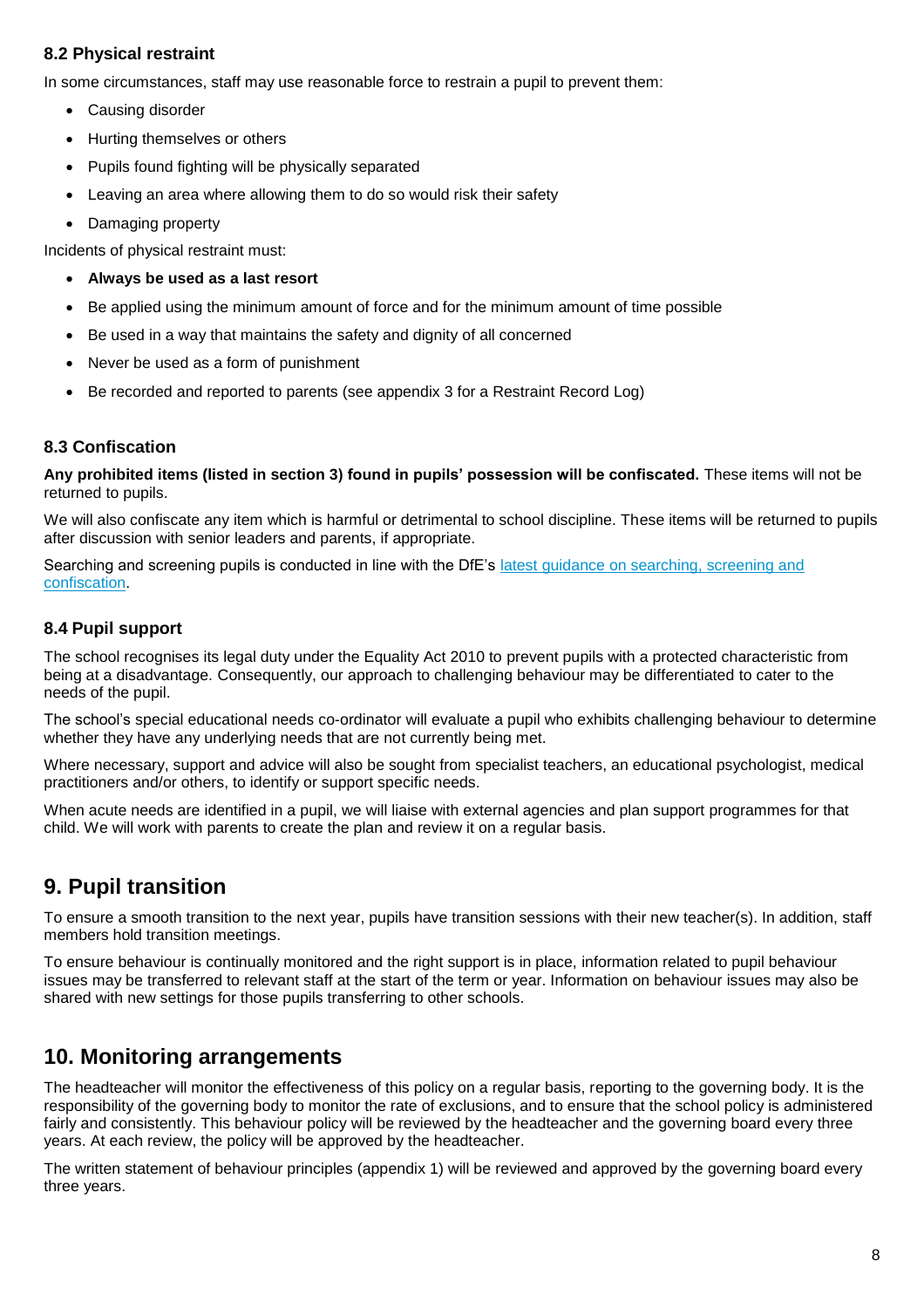#### **8.2 Physical restraint**

In some circumstances, staff may use reasonable force to restrain a pupil to prevent them:

- Causing disorder
- Hurting themselves or others
- Pupils found fighting will be physically separated
- Leaving an area where allowing them to do so would risk their safety
- Damaging property

Incidents of physical restraint must:

- **Always be used as a last resort**
- Be applied using the minimum amount of force and for the minimum amount of time possible
- Be used in a way that maintains the safety and dignity of all concerned
- Never be used as a form of punishment
- Be recorded and reported to parents (see appendix 3 for a Restraint Record Log)

#### **8.3 Confiscation**

**Any prohibited items (listed in section 3) found in pupils' possession will be confiscated.** These items will not be returned to pupils.

We will also confiscate any item which is harmful or detrimental to school discipline. These items will be returned to pupils after discussion with senior leaders and parents, if appropriate.

Searching and screening pupils is conducted in line with the DfE's [latest guidance on searching, screening and](https://www.gov.uk/government/publications/searching-screening-and-confiscation)  [confiscation.](https://www.gov.uk/government/publications/searching-screening-and-confiscation)

#### **8.4 Pupil support**

The school recognises its legal duty under the Equality Act 2010 to prevent pupils with a protected characteristic from being at a disadvantage. Consequently, our approach to challenging behaviour may be differentiated to cater to the needs of the pupil.

The school's special educational needs co-ordinator will evaluate a pupil who exhibits challenging behaviour to determine whether they have any underlying needs that are not currently being met.

Where necessary, support and advice will also be sought from specialist teachers, an educational psychologist, medical practitioners and/or others, to identify or support specific needs.

When acute needs are identified in a pupil, we will liaise with external agencies and plan support programmes for that child. We will work with parents to create the plan and review it on a regular basis.

### **9. Pupil transition**

To ensure a smooth transition to the next year, pupils have transition sessions with their new teacher(s). In addition, staff members hold transition meetings.

To ensure behaviour is continually monitored and the right support is in place, information related to pupil behaviour issues may be transferred to relevant staff at the start of the term or year. Information on behaviour issues may also be shared with new settings for those pupils transferring to other schools.

### **10. Monitoring arrangements**

The headteacher will monitor the effectiveness of this policy on a regular basis, reporting to the governing body. It is the responsibility of the governing body to monitor the rate of exclusions, and to ensure that the school policy is administered fairly and consistently. This behaviour policy will be reviewed by the headteacher and the governing board every three years. At each review, the policy will be approved by the headteacher.

The written statement of behaviour principles (appendix 1) will be reviewed and approved by the governing board every three years.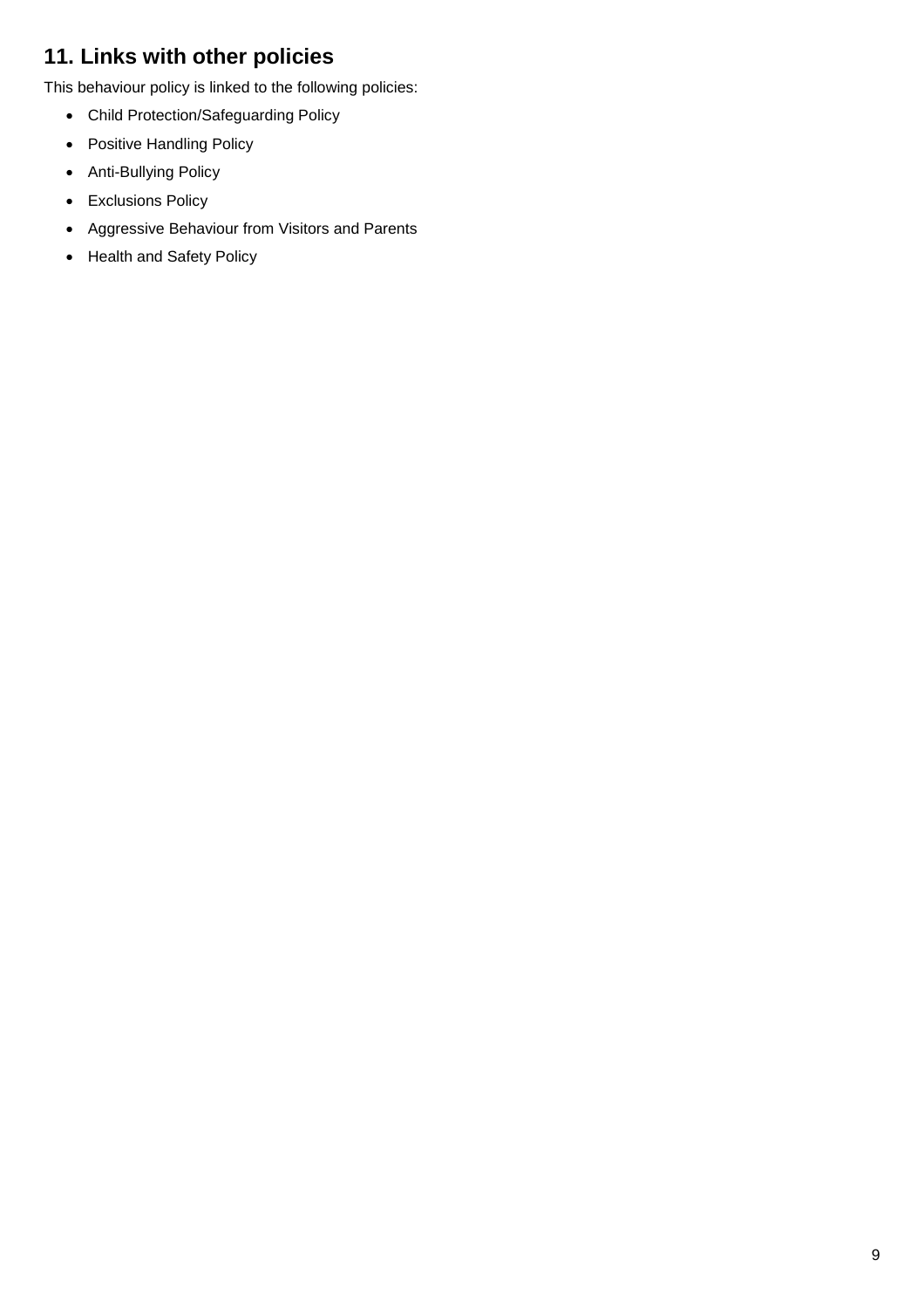## **11. Links with other policies**

This behaviour policy is linked to the following policies:

- Child Protection/Safeguarding Policy
- Positive Handling Policy
- Anti-Bullying Policy
- Exclusions Policy
- Aggressive Behaviour from Visitors and Parents
- Health and Safety Policy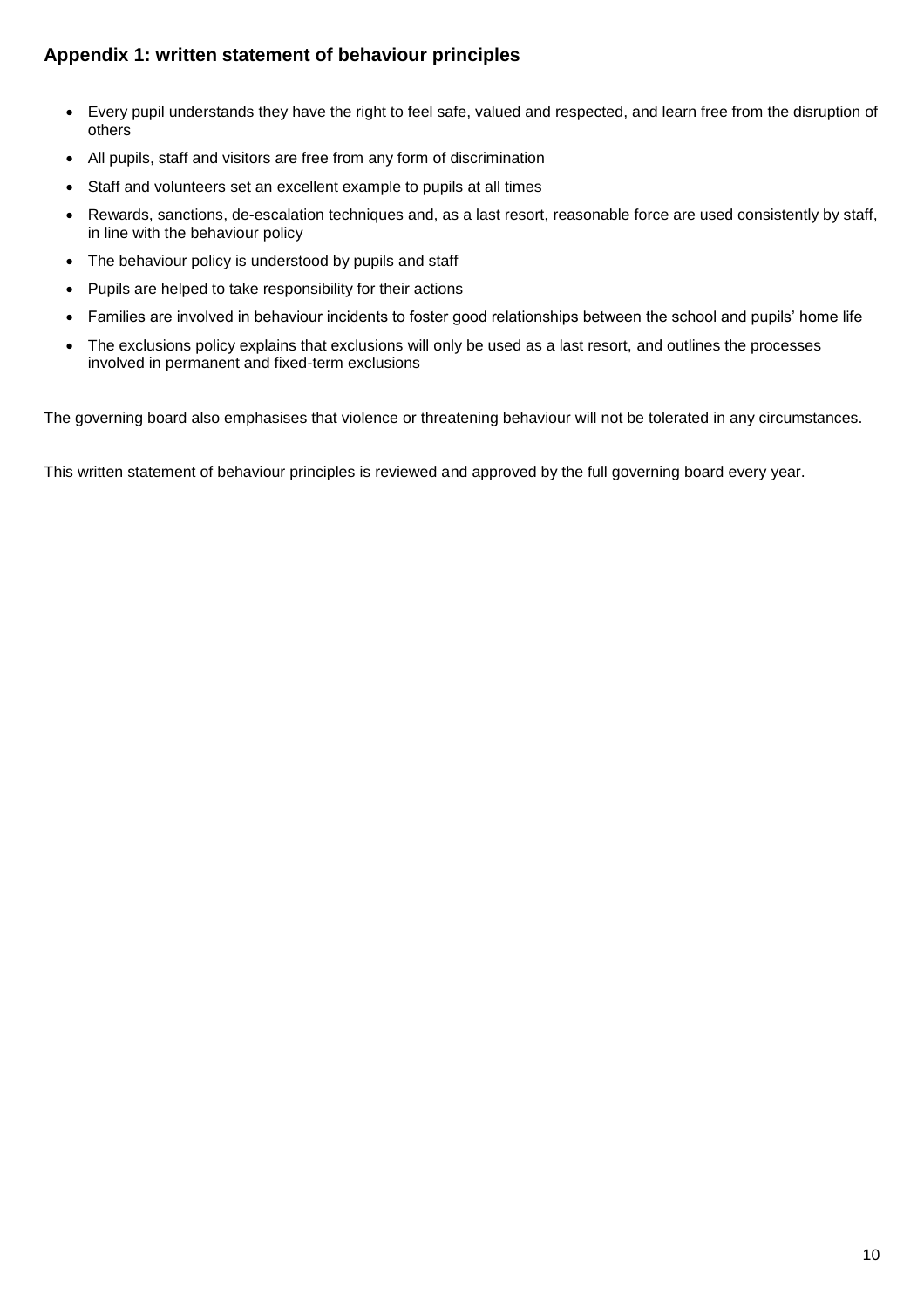### **Appendix 1: written statement of behaviour principles**

- Every pupil understands they have the right to feel safe, valued and respected, and learn free from the disruption of others
- All pupils, staff and visitors are free from any form of discrimination
- Staff and volunteers set an excellent example to pupils at all times
- Rewards, sanctions, de-escalation techniques and, as a last resort, reasonable force are used consistently by staff, in line with the behaviour policy
- The behaviour policy is understood by pupils and staff
- Pupils are helped to take responsibility for their actions
- Families are involved in behaviour incidents to foster good relationships between the school and pupils' home life
- The exclusions policy explains that exclusions will only be used as a last resort, and outlines the processes involved in permanent and fixed-term exclusions

The governing board also emphasises that violence or threatening behaviour will not be tolerated in any circumstances.

This written statement of behaviour principles is reviewed and approved by the full governing board every year.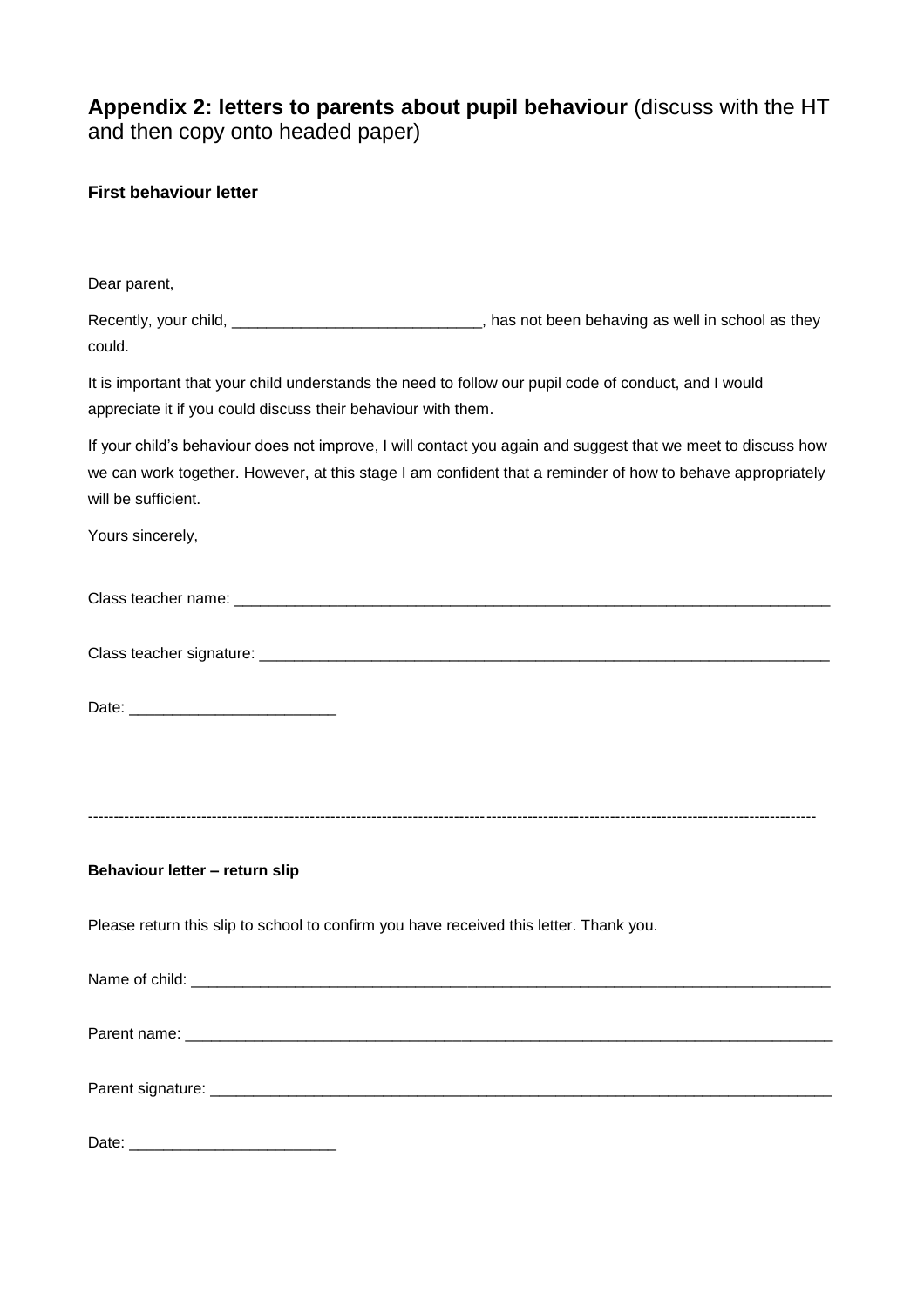### **Appendix 2: letters to parents about pupil behaviour** (discuss with the HT and then copy onto headed paper)

#### **First behaviour letter**

| Dear parent,                                                                                                                                                                                                                                      |  |  |  |  |
|---------------------------------------------------------------------------------------------------------------------------------------------------------------------------------------------------------------------------------------------------|--|--|--|--|
| Recently, your child, ________________________________, has not been behaving as well in school as they<br>could.                                                                                                                                 |  |  |  |  |
| It is important that your child understands the need to follow our pupil code of conduct, and I would<br>appreciate it if you could discuss their behaviour with them.                                                                            |  |  |  |  |
| If your child's behaviour does not improve, I will contact you again and suggest that we meet to discuss how<br>we can work together. However, at this stage I am confident that a reminder of how to behave appropriately<br>will be sufficient. |  |  |  |  |
| Yours sincerely,                                                                                                                                                                                                                                  |  |  |  |  |
|                                                                                                                                                                                                                                                   |  |  |  |  |
|                                                                                                                                                                                                                                                   |  |  |  |  |
|                                                                                                                                                                                                                                                   |  |  |  |  |
|                                                                                                                                                                                                                                                   |  |  |  |  |
|                                                                                                                                                                                                                                                   |  |  |  |  |
| Behaviour letter - return slip                                                                                                                                                                                                                    |  |  |  |  |
| Please return this slip to school to confirm you have received this letter. Thank you.                                                                                                                                                            |  |  |  |  |
|                                                                                                                                                                                                                                                   |  |  |  |  |
|                                                                                                                                                                                                                                                   |  |  |  |  |
|                                                                                                                                                                                                                                                   |  |  |  |  |
|                                                                                                                                                                                                                                                   |  |  |  |  |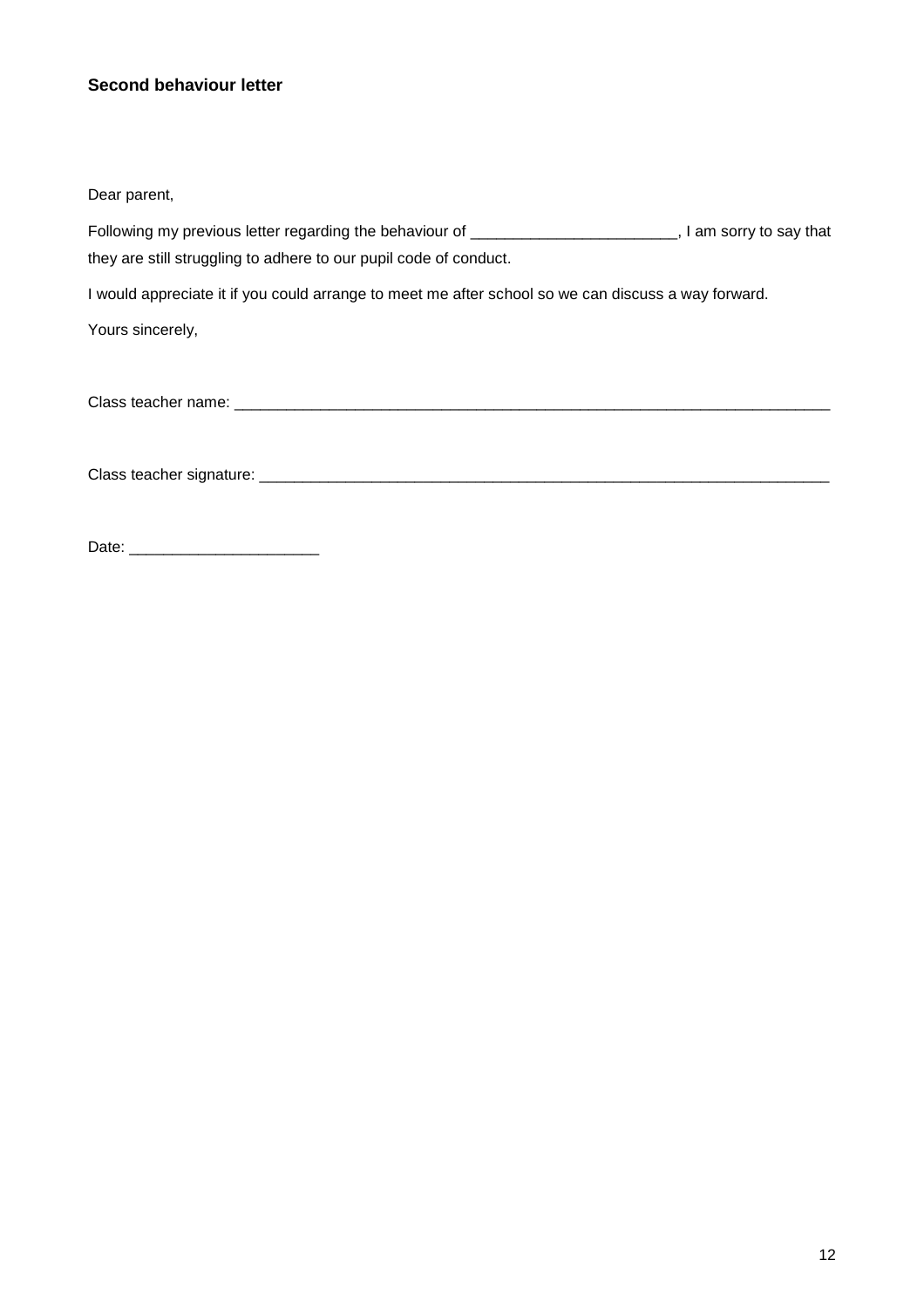#### **Second behaviour letter**

Dear parent,

Following my previous letter regarding the behaviour of \_\_\_\_\_\_\_\_\_\_\_\_\_\_\_\_\_\_\_\_\_\_\_\_, I am sorry to say that they are still struggling to adhere to our pupil code of conduct.

I would appreciate it if you could arrange to meet me after school so we can discuss a way forward.

Yours sincerely,

Class teacher name: \_\_\_\_\_\_\_\_\_\_\_\_\_\_\_\_\_\_\_\_\_\_\_\_\_\_\_\_\_\_\_\_\_\_\_\_\_\_\_\_\_\_\_\_\_\_\_\_\_\_\_\_\_\_\_\_\_\_\_\_\_\_\_\_\_\_\_\_\_

Class teacher signature: \_\_\_\_\_\_\_\_\_\_\_\_\_\_\_\_\_\_\_\_\_\_\_\_\_\_\_\_\_\_\_\_\_\_\_\_\_\_\_\_\_\_\_\_\_\_\_\_\_\_\_\_\_\_\_\_\_\_\_\_\_\_\_\_\_\_

Date: \_\_\_\_\_\_\_\_\_\_\_\_\_\_\_\_\_\_\_\_\_\_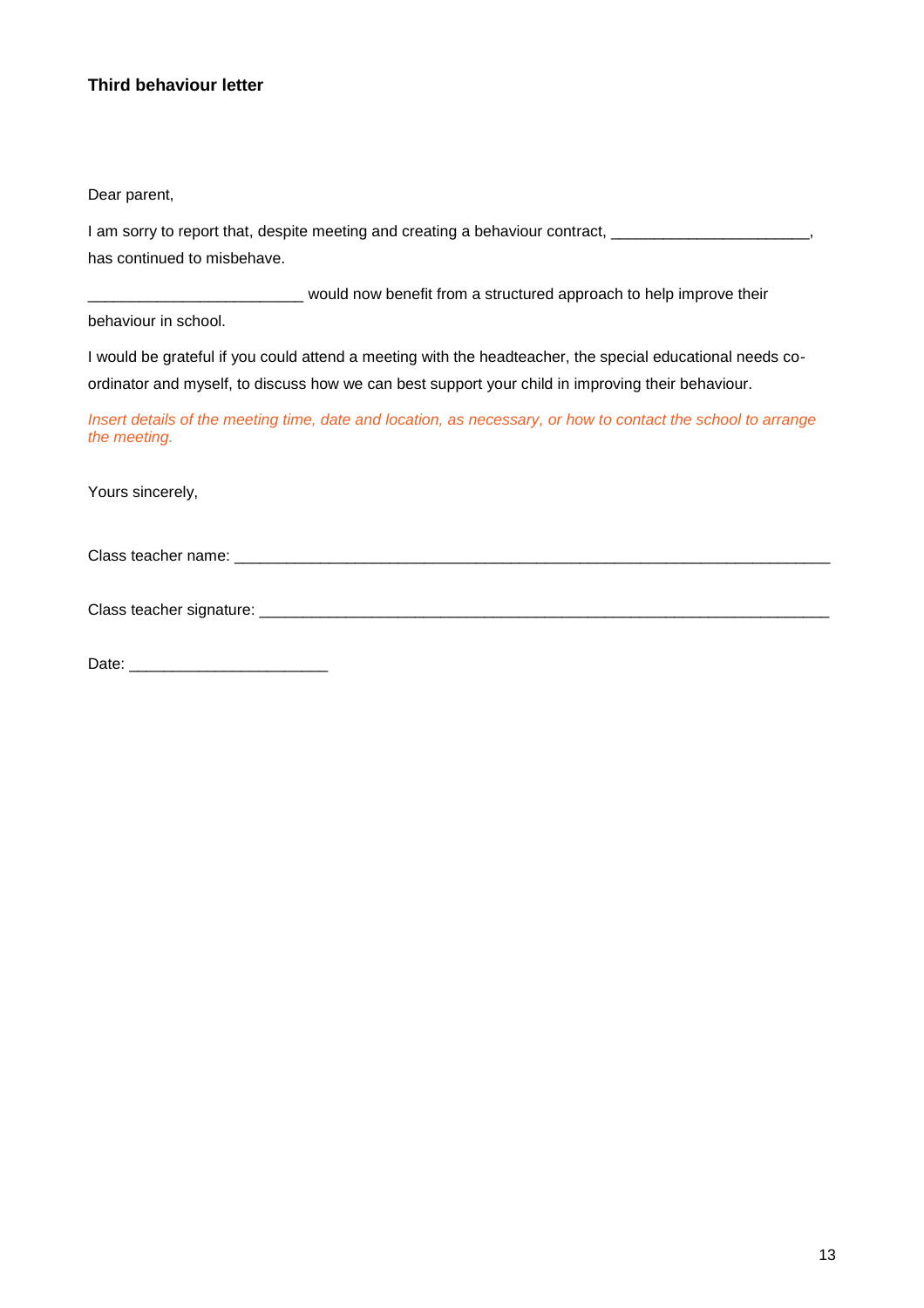#### **Third behaviour letter**

Dear parent,

I am sorry to report that, despite meeting and creating a behaviour contract, \_\_\_\_\_\_\_\_\_\_\_\_\_\_\_\_\_\_\_\_\_\_\_\_, has continued to misbehave.

\_\_\_\_\_\_\_\_\_\_\_\_\_\_\_\_\_\_\_\_\_\_\_\_\_ would now benefit from a structured approach to help improve their

behaviour in school.

I would be grateful if you could attend a meeting with the headteacher, the special educational needs coordinator and myself, to discuss how we can best support your child in improving their behaviour.

*Insert details of the meeting time, date and location, as necessary, or how to contact the school to arrange the meeting.*

Yours sincerely,

Class teacher name: \_\_\_\_\_\_\_\_\_\_\_\_\_\_\_\_\_\_\_\_\_\_\_\_\_\_\_\_\_\_\_\_\_\_\_\_\_\_\_\_\_\_\_\_\_\_\_\_\_\_\_\_\_\_\_\_\_\_\_\_\_\_\_\_\_\_\_\_\_

Class teacher signature: \_\_\_\_\_\_\_\_\_\_\_\_\_\_\_\_\_\_\_\_\_\_\_\_\_\_\_\_\_\_\_\_\_\_\_\_\_\_\_\_\_\_\_\_\_\_\_\_\_\_\_\_\_\_\_\_\_\_\_\_\_\_\_\_\_\_

Date: \_\_\_\_\_\_\_\_\_\_\_\_\_\_\_\_\_\_\_\_\_\_\_